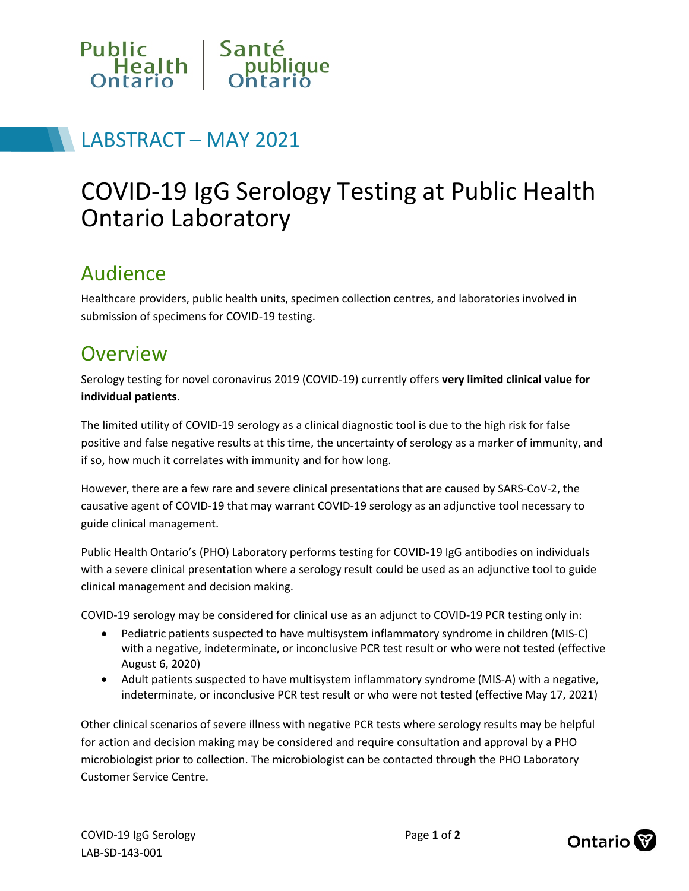

## LABSTRACT – MAY 2021

# COVID-19 IgG Serology Testing at Public Health Ontario Laboratory

#### Audience

Healthcare providers, public health units, specimen collection centres, and laboratories involved in submission of specimens for COVID-19 testing.

#### **Overview**

Serology testing for novel coronavirus 2019 (COVID-19) currently offers **very limited clinical value for individual patients**.

The limited utility of COVID-19 serology as a clinical diagnostic tool is due to the high risk for false positive and false negative results at this time, the uncertainty of serology as a marker of immunity, and if so, how much it correlates with immunity and for how long.

However, there are a few rare and severe clinical presentations that are caused by SARS-CoV-2, the causative agent of COVID-19 that may warrant COVID-19 serology as an adjunctive tool necessary to guide clinical management.

Public Health Ontario's (PHO) Laboratory performs testing for COVID-19 IgG antibodies on individuals with a severe clinical presentation where a serology result could be used as an adjunctive tool to guide clinical management and decision making.

COVID-19 serology may be considered for clinical use as an adjunct to COVID-19 PCR testing only in:

- Pediatric patients suspected to have multisystem inflammatory syndrome in children (MIS-C) with a negative, indeterminate, or inconclusive PCR test result or who were not tested (effective August 6, 2020)
- Adult patients suspected to have multisystem inflammatory syndrome (MIS-A) with a negative, indeterminate, or inconclusive PCR test result or who were not tested (effective May 17, 2021)

Other clinical scenarios of severe illness with negative PCR tests where serology results may be helpful for action and decision making may be considered and require consultation and approval by a PHO microbiologist prior to collection. The microbiologist can be contacted through the PHO Laboratory Customer Service Centre.